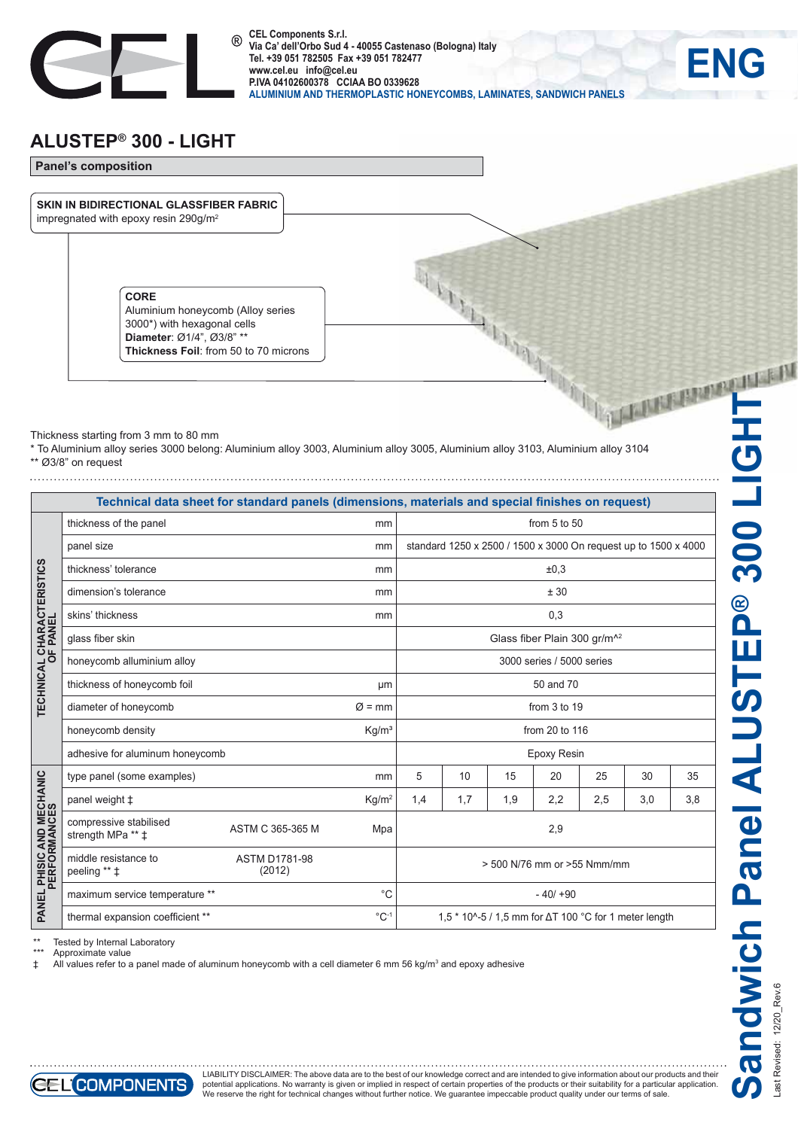

**CEL Components S.r.l.**   $(R)$ **Via Ca' dell'Orbo Sud 4 - 40055 Castenaso (Bologna) Italy Tel. +39 051 782505 Fax +39 051 782477 www.cel.eu info@cel.eu P.IVA 04102600378 CCIAA BO 0339628 ALUMINIUM AND THERMOPLASTIC HONEYCOMBS, LAMINATES, SANDWICH PANELS**

## **ALUSTEP® 300 - LIGHT**



Thickness starting from 3 mm to 80 mm

\* To Aluminium alloy series 3000 belong: Aluminium alloy 3003, Aluminium alloy 3005, Aluminium alloy 3103, Aluminium alloy 3104 \*\* Ø3/8" on request

|                                              | Technical data sheet for standard panels (dimensions, materials and special finishes on request) |                                |                    |                                                                 |                |     |     |     |     |     |
|----------------------------------------------|--------------------------------------------------------------------------------------------------|--------------------------------|--------------------|-----------------------------------------------------------------|----------------|-----|-----|-----|-----|-----|
| <b>TECHNICAL CHARACTERISTICS</b><br>OF PANEL | thickness of the panel                                                                           |                                | mm                 | from $5$ to $50$                                                |                |     |     |     |     |     |
|                                              | panel size                                                                                       |                                | mm                 | standard 1250 x 2500 / 1500 x 3000 On request up to 1500 x 4000 |                |     |     |     |     |     |
|                                              | thickness' tolerance                                                                             |                                | mm                 | ±0.3                                                            |                |     |     |     |     |     |
|                                              | dimension's tolerance                                                                            |                                | mm                 | ± 30                                                            |                |     |     |     |     |     |
|                                              | skins' thickness<br>mm                                                                           |                                |                    | 0,3                                                             |                |     |     |     |     |     |
|                                              | glass fiber skin                                                                                 |                                |                    | Glass fiber Plain 300 gr/m <sup>^2</sup>                        |                |     |     |     |     |     |
|                                              | honeycomb alluminium alloy                                                                       |                                |                    | 3000 series / 5000 series                                       |                |     |     |     |     |     |
|                                              | thickness of honeycomb foil                                                                      |                                | μm                 | 50 and 70                                                       |                |     |     |     |     |     |
|                                              | diameter of honeycomb                                                                            |                                | $\varnothing$ = mm | from 3 to 19                                                    |                |     |     |     |     |     |
|                                              | honeycomb density                                                                                | Kg/m <sup>3</sup>              |                    |                                                                 | from 20 to 116 |     |     |     |     |     |
|                                              | adhesive for aluminum honeycomb                                                                  |                                |                    | Epoxy Resin                                                     |                |     |     |     |     |     |
| PANEL PHISIC AND MECHANIC<br>PERFORMANCES    | type panel (some examples)                                                                       |                                | mm                 | 5                                                               | 10             | 15  | 20  | 25  | 30  | 35  |
|                                              | panel weight $\ddagger$                                                                          |                                | Kg/m <sup>2</sup>  | 1,4                                                             | 1,7            | 1,9 | 2,2 | 2,5 | 3,0 | 3,8 |
|                                              | compressive stabilised<br>strength MPa ** ‡                                                      | ASTM C 365-365 M               | Mpa                | 2,9                                                             |                |     |     |     |     |     |
|                                              | middle resistance to<br>peeling ** ‡                                                             | <b>ASTM D1781-98</b><br>(2012) |                    | > 500 N/76 mm or >55 Nmm/mm                                     |                |     |     |     |     |     |
|                                              | maximum service temperature **                                                                   |                                | $^{\circ}C$        | $-40/190$                                                       |                |     |     |     |     |     |
|                                              | thermal expansion coefficient **                                                                 |                                | $^{\circ}$ C-1     | 1,5 $*$ 10^-5 / 1,5 mm for $\Delta$ T 100 °C for 1 meter length |                |     |     |     |     |     |

\*\* Tested by Internal Laboratory

\*\*\* Approximate value<br>  $\pm$  All values refer to a

‡ All values refer to a panel made of aluminum honeycomb with a cell diameter 6 mm 56 kg/m3 and epoxy adhesive

Last Revised: 12/20\_Rev.6

**ENG**



LIABILITY DISCLAIMER: The above data are to the best of our knowledge correct and are intended to give information about our products and their potential applications. No warranty is given or implied in respect of certain properties of the products or their suitability for a particular application.<br>We reserve the right for technical changes without further notice.